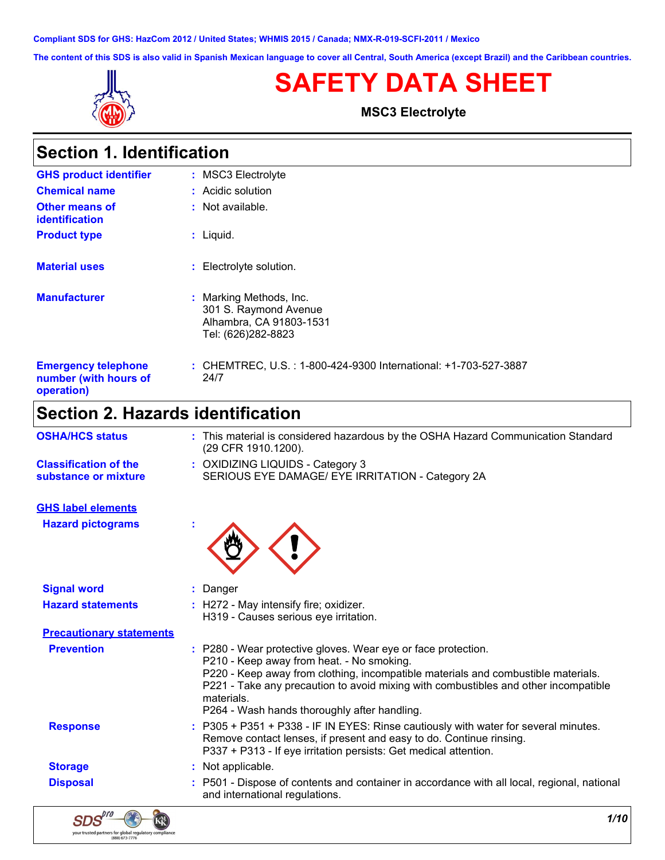**Compliant SDS for GHS: HazCom 2012 / United States; WHMIS 2015 / Canada; NMX-R-019-SCFI-2011 / Mexico**

**The content of this SDS is also valid in Spanish Mexican language to cover all Central, South America (except Brazil) and the Caribbean countries.**



# **SAFETY DATA SHEET**

**MSC3 Electrolyte**

| <b>Section 1. Identification</b>                                  |                                                                                                   |
|-------------------------------------------------------------------|---------------------------------------------------------------------------------------------------|
| <b>GHS product identifier</b>                                     | : MSC3 Electrolyte                                                                                |
| <b>Chemical name</b>                                              | $:$ Acidic solution                                                                               |
| <b>Other means of</b><br><i>identification</i>                    | : Not available.                                                                                  |
| <b>Product type</b>                                               | $:$ Liquid.                                                                                       |
| <b>Material uses</b>                                              | : Electrolyte solution.                                                                           |
| <b>Manufacturer</b>                                               | : Marking Methods, Inc.<br>301 S. Raymond Avenue<br>Alhambra, CA 91803-1531<br>Tel: (626)282-8823 |
| <b>Emergency telephone</b><br>number (with hours of<br>operation) | : CHEMTREC, U.S. : 1-800-424-9300 International: +1-703-527-3887<br>24/7                          |
| Section 2. Hazards identification                                 |                                                                                                   |

| <b>OSHA/HCS status</b>                               | : This material is considered hazardous by the OSHA Hazard Communication Standard<br>(29 CFR 1910.1200).                                                                                                                                                                                                                                             |
|------------------------------------------------------|------------------------------------------------------------------------------------------------------------------------------------------------------------------------------------------------------------------------------------------------------------------------------------------------------------------------------------------------------|
| <b>Classification of the</b><br>substance or mixture | : OXIDIZING LIQUIDS - Category 3<br>SERIOUS EYE DAMAGE/ EYE IRRITATION - Category 2A                                                                                                                                                                                                                                                                 |
| <b>GHS label elements</b>                            |                                                                                                                                                                                                                                                                                                                                                      |
| <b>Hazard pictograms</b>                             |                                                                                                                                                                                                                                                                                                                                                      |
| <b>Signal word</b>                                   | : Danger                                                                                                                                                                                                                                                                                                                                             |
| <b>Hazard statements</b>                             | : H272 - May intensify fire; oxidizer.<br>H319 - Causes serious eye irritation.                                                                                                                                                                                                                                                                      |
| <b>Precautionary statements</b>                      |                                                                                                                                                                                                                                                                                                                                                      |
| <b>Prevention</b>                                    | : P280 - Wear protective gloves. Wear eye or face protection.<br>P210 - Keep away from heat. - No smoking.<br>P220 - Keep away from clothing, incompatible materials and combustible materials.<br>P221 - Take any precaution to avoid mixing with combustibles and other incompatible<br>materials.<br>P264 - Wash hands thoroughly after handling. |
| <b>Response</b>                                      | : P305 + P351 + P338 - IF IN EYES: Rinse cautiously with water for several minutes.<br>Remove contact lenses, if present and easy to do. Continue rinsing.<br>P337 + P313 - If eye irritation persists: Get medical attention.                                                                                                                       |
| <b>Storage</b>                                       | : Not applicable.                                                                                                                                                                                                                                                                                                                                    |
| <b>Disposal</b>                                      | : P501 - Dispose of contents and container in accordance with all local, regional, national<br>and international regulations.                                                                                                                                                                                                                        |

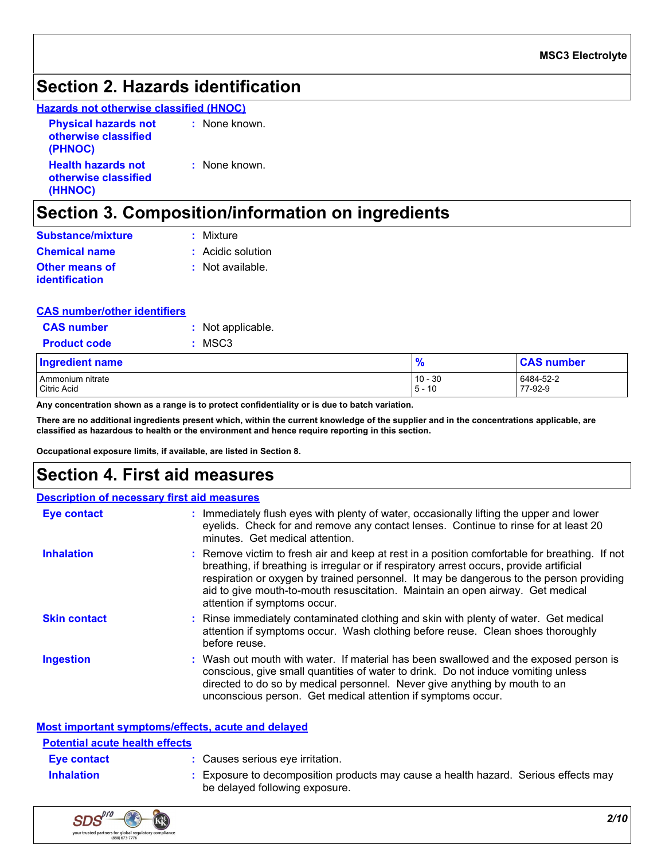### **Section 2. Hazards identification**

**Hazards not otherwise classified (HNOC)**

| <b>Physical hazards not</b><br>otherwise classified<br>(PHNOC) | : None known. |
|----------------------------------------------------------------|---------------|
| <b>Health hazards not</b><br>otherwise classified<br>(HHNOC)   | : None known. |

## **Section 3. Composition/information on ingredients**

| <b>Substance/mixture</b>         | : Mixture         |
|----------------------------------|-------------------|
| <b>Chemical name</b>             | : Acidic solution |
| Other means of<br>identification | : Not available.  |

#### **CAS number/other identifiers**

| <b>CAS</b> number                         | : Not applicable. |
|-------------------------------------------|-------------------|
| <b>Product code</b>                       | $:$ MSC3          |
| the company of the seat of the company of |                   |

| <b>Ingredient name</b>          | $\bullet$                | <b>CAS number</b>    |
|---------------------------------|--------------------------|----------------------|
| Ammonium nitrate<br>Citric Acid | $10 - 30$<br>10<br>$-5-$ | 6484-52-2<br>77-92-9 |
|                                 |                          |                      |

**Any concentration shown as a range is to protect confidentiality or is due to batch variation.**

**There are no additional ingredients present which, within the current knowledge of the supplier and in the concentrations applicable, are classified as hazardous to health or the environment and hence require reporting in this section.**

**Occupational exposure limits, if available, are listed in Section 8.**

### **Section 4. First aid measures**

|                     | <b>Description of necessary first aid measures</b>                                                                                                                                                                                                                                                                                                                                                     |
|---------------------|--------------------------------------------------------------------------------------------------------------------------------------------------------------------------------------------------------------------------------------------------------------------------------------------------------------------------------------------------------------------------------------------------------|
| Eye contact         | : Immediately flush eyes with plenty of water, occasionally lifting the upper and lower<br>eyelids. Check for and remove any contact lenses. Continue to rinse for at least 20<br>minutes. Get medical attention.                                                                                                                                                                                      |
| <b>Inhalation</b>   | : Remove victim to fresh air and keep at rest in a position comfortable for breathing. If not<br>breathing, if breathing is irregular or if respiratory arrest occurs, provide artificial<br>respiration or oxygen by trained personnel. It may be dangerous to the person providing<br>aid to give mouth-to-mouth resuscitation. Maintain an open airway. Get medical<br>attention if symptoms occur. |
| <b>Skin contact</b> | : Rinse immediately contaminated clothing and skin with plenty of water. Get medical<br>attention if symptoms occur. Wash clothing before reuse. Clean shoes thoroughly<br>before reuse.                                                                                                                                                                                                               |
| <b>Ingestion</b>    | : Wash out mouth with water. If material has been swallowed and the exposed person is<br>conscious, give small quantities of water to drink. Do not induce vomiting unless<br>directed to do so by medical personnel. Never give anything by mouth to an<br>unconscious person. Get medical attention if symptoms occur.                                                                               |

#### **Most important symptoms/effects, acute and delayed**

| <b>Potential acute health effects</b> |                                                                                                                     |
|---------------------------------------|---------------------------------------------------------------------------------------------------------------------|
| <b>Eve contact</b>                    | : Causes serious eye irritation.                                                                                    |
| <b>Inhalation</b>                     | Exposure to decomposition products may cause a health hazard. Serious effects may<br>be delayed following exposure. |

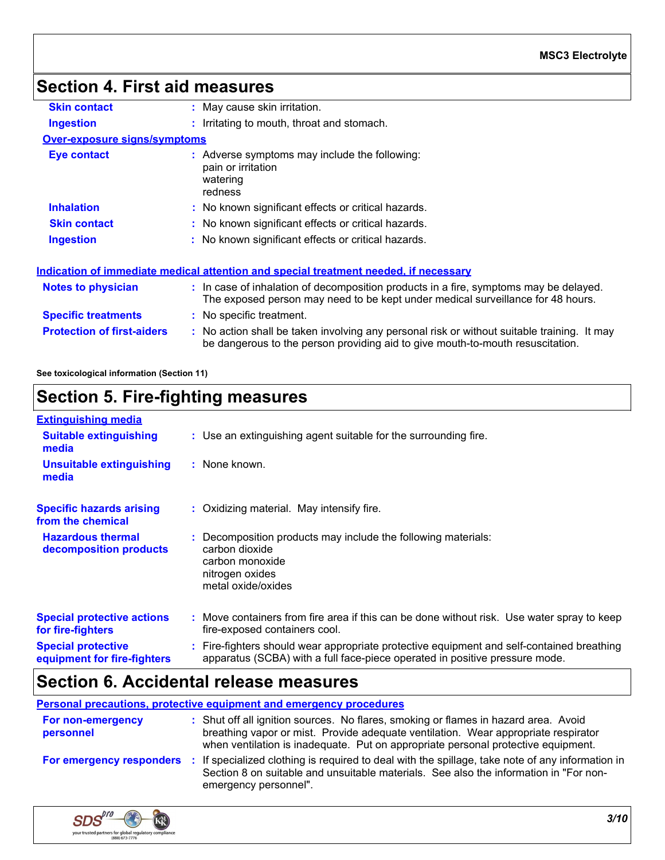# **Section 4. First aid measures**

| <b>Skin contact</b>                 | : May cause skin irritation.                                                                                                                                                  |
|-------------------------------------|-------------------------------------------------------------------------------------------------------------------------------------------------------------------------------|
| <b>Ingestion</b>                    | : Irritating to mouth, throat and stomach.                                                                                                                                    |
| <b>Over-exposure signs/symptoms</b> |                                                                                                                                                                               |
| Eye contact                         | : Adverse symptoms may include the following:<br>pain or irritation<br>watering<br>redness                                                                                    |
| <b>Inhalation</b>                   | : No known significant effects or critical hazards.                                                                                                                           |
| <b>Skin contact</b>                 | : No known significant effects or critical hazards.                                                                                                                           |
| <b>Ingestion</b>                    | : No known significant effects or critical hazards.                                                                                                                           |
|                                     | Indication of immediate medical attention and special treatment needed, if necessary                                                                                          |
| <b>Notes to physician</b>           | : In case of inhalation of decomposition products in a fire, symptoms may be delayed.<br>The exposed person may need to be kept under medical surveillance for 48 hours.      |
| <b>Specific treatments</b>          | : No specific treatment.                                                                                                                                                      |
| <b>Protection of first-aiders</b>   | : No action shall be taken involving any personal risk or without suitable training. It may<br>be dangerous to the person providing aid to give mouth-to-mouth resuscitation. |
|                                     |                                                                                                                                                                               |

**See toxicological information (Section 11)**

# **Section 5. Fire-fighting measures**

| <b>Extinguishing media</b>                               |                                                                                                                                                                          |
|----------------------------------------------------------|--------------------------------------------------------------------------------------------------------------------------------------------------------------------------|
| <b>Suitable extinguishing</b><br>media                   | : Use an extinguishing agent suitable for the surrounding fire.                                                                                                          |
| <b>Unsuitable extinguishing</b><br>media                 | : None known.                                                                                                                                                            |
| <b>Specific hazards arising</b><br>from the chemical     | : Oxidizing material. May intensify fire.                                                                                                                                |
| <b>Hazardous thermal</b><br>decomposition products       | : Decomposition products may include the following materials:<br>carbon dioxide<br>carbon monoxide<br>nitrogen oxides<br>metal oxide/oxides                              |
| <b>Special protective actions</b><br>for fire-fighters   | : Move containers from fire area if this can be done without risk. Use water spray to keep<br>fire-exposed containers cool.                                              |
| <b>Special protective</b><br>equipment for fire-fighters | : Fire-fighters should wear appropriate protective equipment and self-contained breathing<br>apparatus (SCBA) with a full face-piece operated in positive pressure mode. |

### **Section 6. Accidental release measures**

**Personal precautions, protective equipment and emergency procedures**

| <b>For non-emergency</b><br>personnel | : Shut off all ignition sources. No flares, smoking or flames in hazard area. Avoid<br>breathing vapor or mist. Provide adequate ventilation. Wear appropriate respirator<br>when ventilation is inadequate. Put on appropriate personal protective equipment. |
|---------------------------------------|----------------------------------------------------------------------------------------------------------------------------------------------------------------------------------------------------------------------------------------------------------------|
|                                       | For emergency responders : If specialized clothing is required to deal with the spillage, take note of any information in<br>Section 8 on suitable and unsuitable materials. See also the information in "For non-<br>emergency personnel".                    |

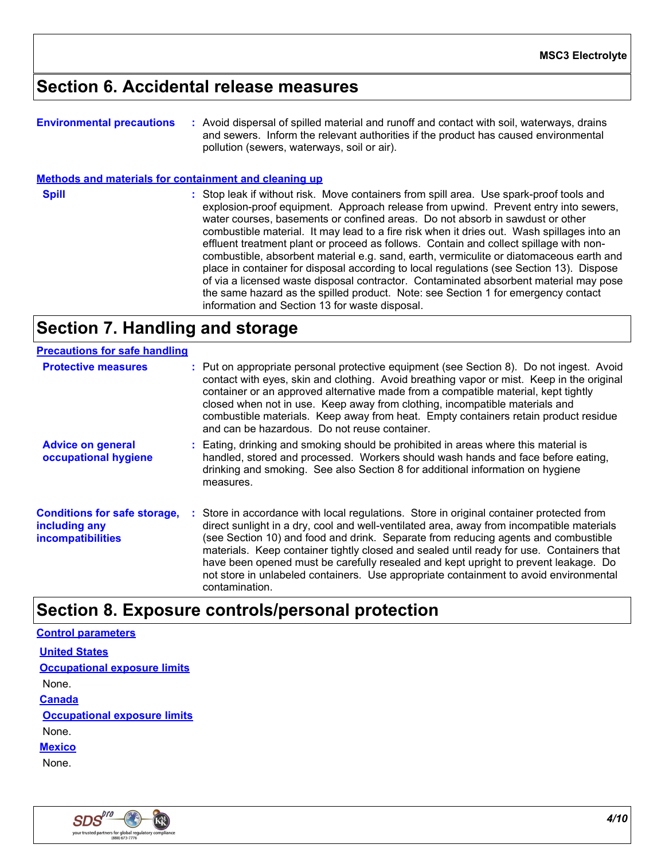### **Section 6. Accidental release measures**

| <b>Environmental precautions</b> | : Avoid dispersal of spilled material and runoff and contact with soil, waterways, drains |  |
|----------------------------------|-------------------------------------------------------------------------------------------|--|
|                                  | and sewers. Inform the relevant authorities if the product has caused environmental       |  |
|                                  | pollution (sewers, waterways, soil or air).                                               |  |

**Methods and materials for containment and cleaning up**

**Spill** Stop leak if without risk. Move containers from spill area. Use spark-proof tools and **Spill** explosion-proof equipment. Approach release from upwind. Prevent entry into sewers, water courses, basements or confined areas. Do not absorb in sawdust or other combustible material. It may lead to a fire risk when it dries out. Wash spillages into an effluent treatment plant or proceed as follows. Contain and collect spillage with noncombustible, absorbent material e.g. sand, earth, vermiculite or diatomaceous earth and place in container for disposal according to local regulations (see Section 13). Dispose of via a licensed waste disposal contractor. Contaminated absorbent material may pose the same hazard as the spilled product. Note: see Section 1 for emergency contact information and Section 13 for waste disposal.

# **Section 7. Handling and storage**

| <u>, recaduono ioi pare nanamig</u>                                              |                                                                                                                                                                                                                                                                                                                                                                                                                                                                                                                                                                           |  |
|----------------------------------------------------------------------------------|---------------------------------------------------------------------------------------------------------------------------------------------------------------------------------------------------------------------------------------------------------------------------------------------------------------------------------------------------------------------------------------------------------------------------------------------------------------------------------------------------------------------------------------------------------------------------|--|
| <b>Protective measures</b>                                                       | : Put on appropriate personal protective equipment (see Section 8). Do not ingest. Avoid<br>contact with eyes, skin and clothing. Avoid breathing vapor or mist. Keep in the original<br>container or an approved alternative made from a compatible material, kept tightly<br>closed when not in use. Keep away from clothing, incompatible materials and<br>combustible materials. Keep away from heat. Empty containers retain product residue<br>and can be hazardous. Do not reuse container.                                                                        |  |
| <b>Advice on general</b><br>occupational hygiene                                 | : Eating, drinking and smoking should be prohibited in areas where this material is<br>handled, stored and processed. Workers should wash hands and face before eating,<br>drinking and smoking. See also Section 8 for additional information on hygiene<br>measures.                                                                                                                                                                                                                                                                                                    |  |
| <b>Conditions for safe storage,</b><br>including any<br><b>incompatibilities</b> | : Store in accordance with local regulations. Store in original container protected from<br>direct sunlight in a dry, cool and well-ventilated area, away from incompatible materials<br>(see Section 10) and food and drink. Separate from reducing agents and combustible<br>materials. Keep container tightly closed and sealed until ready for use. Containers that<br>have been opened must be carefully resealed and kept upright to prevent leakage. Do<br>not store in unlabeled containers. Use appropriate containment to avoid environmental<br>contamination. |  |

### **Section 8. Exposure controls/personal protection**

#### **Control parameters United States**

**Occupational exposure limits**

None.

**Canada**

**Occupational exposure limits**

None.

**Mexico**

None.

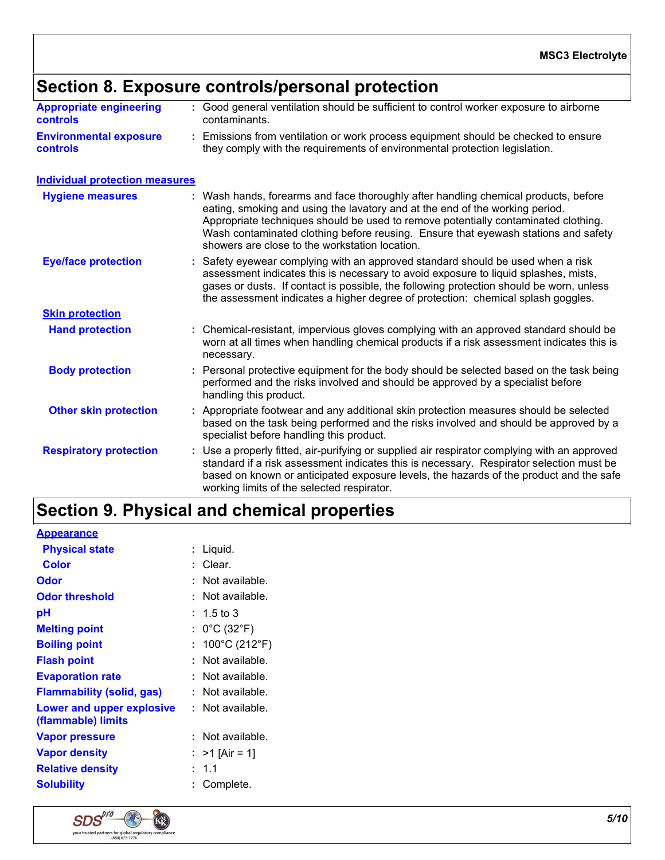# **Section 8. Exposure controls/personal protection**

| <b>Appropriate engineering</b> | : Good general ventilation should be sufficient to control worker exposure to airborne |
|--------------------------------|----------------------------------------------------------------------------------------|
| <b>controls</b>                | contaminants.                                                                          |
| <b>Environmental exposure</b>  | . Emissions from ventilation or work process equipment should be checked to ensure     |

**Environmental exposure controls :** Emissions from ventilation or work process equipment should be checked to ensure they comply with the requirements of environmental protection legislation.

#### **Individual protection measures**

| <b>Hygiene measures</b>       | : Wash hands, forearms and face thoroughly after handling chemical products, before<br>eating, smoking and using the lavatory and at the end of the working period.<br>Appropriate techniques should be used to remove potentially contaminated clothing.<br>Wash contaminated clothing before reusing. Ensure that eyewash stations and safety<br>showers are close to the workstation location. |  |  |
|-------------------------------|---------------------------------------------------------------------------------------------------------------------------------------------------------------------------------------------------------------------------------------------------------------------------------------------------------------------------------------------------------------------------------------------------|--|--|
| <b>Eye/face protection</b>    | : Safety eyewear complying with an approved standard should be used when a risk<br>assessment indicates this is necessary to avoid exposure to liquid splashes, mists,<br>gases or dusts. If contact is possible, the following protection should be worn, unless<br>the assessment indicates a higher degree of protection: chemical splash goggles.                                             |  |  |
| <b>Skin protection</b>        |                                                                                                                                                                                                                                                                                                                                                                                                   |  |  |
| <b>Hand protection</b>        | : Chemical-resistant, impervious gloves complying with an approved standard should be<br>worn at all times when handling chemical products if a risk assessment indicates this is<br>necessary.                                                                                                                                                                                                   |  |  |
| <b>Body protection</b>        | : Personal protective equipment for the body should be selected based on the task being<br>performed and the risks involved and should be approved by a specialist before<br>handling this product.                                                                                                                                                                                               |  |  |
| <b>Other skin protection</b>  | : Appropriate footwear and any additional skin protection measures should be selected<br>based on the task being performed and the risks involved and should be approved by a<br>specialist before handling this product.                                                                                                                                                                         |  |  |
| <b>Respiratory protection</b> | : Use a properly fitted, air-purifying or supplied air respirator complying with an approved<br>standard if a risk assessment indicates this is necessary. Respirator selection must be<br>based on known or anticipated exposure levels, the hazards of the product and the safe<br>working limits of the selected respirator.                                                                   |  |  |

# **Section 9. Physical and chemical properties**

| <b>Appearance</b>                               |                                   |
|-------------------------------------------------|-----------------------------------|
| <b>Physical state</b>                           | Liquid.                           |
| Color                                           | Clear.                            |
| Odor                                            | Not available.                    |
| <b>Odor threshold</b>                           | Not available.                    |
| рH                                              | $: 1.5 \text{ to } 3$             |
| <b>Melting point</b>                            | : $0^{\circ}$ C (32 $^{\circ}$ F) |
| <b>Boiling point</b>                            | 100°C (212°F)<br>÷.               |
| <b>Flash point</b>                              | $:$ Not available.                |
| <b>Evaporation rate</b>                         | Not available.                    |
| <b>Flammability (solid, gas)</b>                | : Not available.                  |
| Lower and upper explosive<br>(flammable) limits | $:$ Not available.                |
| Vapor pressure                                  | $:$ Not available.                |
| <b>Vapor density</b>                            | : $>1$ [Air = 1]                  |
| <b>Relative density</b>                         | 1.1                               |
| <b>Solubility</b>                               | Complete.                         |

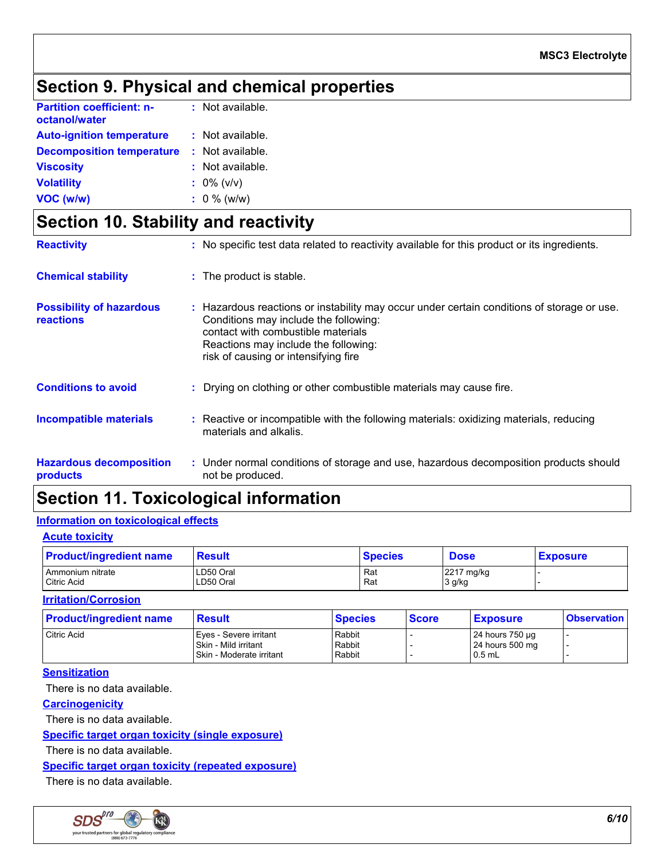# **Section 9. Physical and chemical properties**

| <b>Partition coefficient: n-</b><br>octanol/water | : Not available. |
|---------------------------------------------------|------------------|
| <b>Auto-ignition temperature</b>                  | : Not available. |
| <b>Decomposition temperature</b>                  | : Not available. |
| <b>Viscosity</b>                                  | : Not available. |
| <b>Volatility</b>                                 | $: 0\%$ (v/v)    |
| VOC (w/w)                                         | $: 0 \%$ (w/w)   |

# **Section 10. Stability and reactivity**

| <b>Reactivity</b>                            | : No specific test data related to reactivity available for this product or its ingredients.                                                                                                                                                              |
|----------------------------------------------|-----------------------------------------------------------------------------------------------------------------------------------------------------------------------------------------------------------------------------------------------------------|
| <b>Chemical stability</b>                    | : The product is stable.                                                                                                                                                                                                                                  |
| <b>Possibility of hazardous</b><br>reactions | : Hazardous reactions or instability may occur under certain conditions of storage or use.<br>Conditions may include the following:<br>contact with combustible materials<br>Reactions may include the following:<br>risk of causing or intensifying fire |
| <b>Conditions to avoid</b>                   | : Drying on clothing or other combustible materials may cause fire.                                                                                                                                                                                       |
| <b>Incompatible materials</b>                | : Reactive or incompatible with the following materials: oxidizing materials, reducing<br>materials and alkalis.                                                                                                                                          |
| <b>Hazardous decomposition</b><br>products   | : Under normal conditions of storage and use, hazardous decomposition products should<br>not be produced.                                                                                                                                                 |

### **Section 11. Toxicological information**

#### **Information on toxicological effects**

| <b>Acute toxicity</b> |  |
|-----------------------|--|
|                       |  |

| <b>Product/ingredient name</b> | <b>Result</b> | <b>Species</b> | <b>Dose</b> | <b>Exposure</b> |
|--------------------------------|---------------|----------------|-------------|-----------------|
| Ammonium nitrate               | LD50 Oral     | Rat            | 2217 mg/kg  |                 |
| <b>Citric Acid</b>             | LD50 Oral     | Rat            | 3 g/kg      |                 |

#### **Irritation/Corrosion**

| <b>Product/ingredient name</b> | <b>Result</b>                                                              | <b>Species</b>             | <b>Score</b> | <b>Exposure</b>                                | <b>Observation</b> |
|--------------------------------|----------------------------------------------------------------------------|----------------------------|--------------|------------------------------------------------|--------------------|
| Citric Acid                    | Eves - Severe irritant<br>Skin - Mild irritant<br>Skin - Moderate irritant | Rabbit<br>Rabbit<br>Rabbit |              | 24 hours 750 µg<br>24 hours 500 mg<br>$0.5$ mL |                    |

#### **Sensitization**

There is no data available.

#### **Carcinogenicity**

There is no data available.

#### **Specific target organ toxicity (single exposure)**

There is no data available.

#### **Specific target organ toxicity (repeated exposure)**

There is no data available.

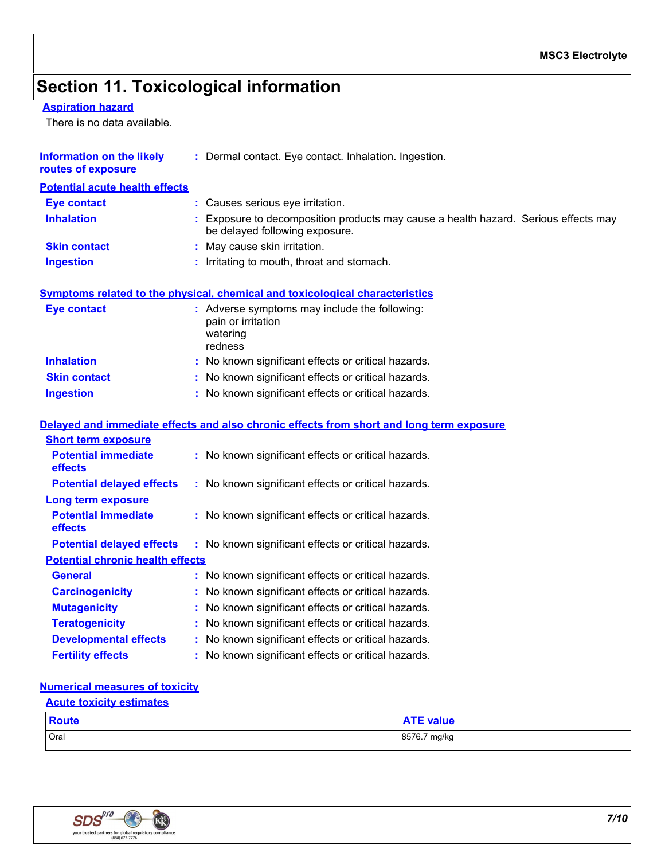# **Section 11. Toxicological information**

#### **Aspiration hazard**

There is no data available.

| <b>Information on the likely</b><br>routes of exposure | : Dermal contact. Eye contact. Inhalation. Ingestion.                                                                 |
|--------------------------------------------------------|-----------------------------------------------------------------------------------------------------------------------|
| <b>Potential acute health effects</b>                  |                                                                                                                       |
| <b>Eye contact</b>                                     | : Causes serious eye irritation.                                                                                      |
| <b>Inhalation</b>                                      | : Exposure to decomposition products may cause a health hazard. Serious effects may<br>be delayed following exposure. |
| <b>Skin contact</b>                                    | May cause skin irritation.                                                                                            |
| <b>Ingestion</b>                                       | : Irritating to mouth, throat and stomach.                                                                            |
|                                                        | <b>Symptoms related to the physical, chemical and toxicological characteristics</b>                                   |
| <b>Eye contact</b>                                     | : Adverse symptoms may include the following:<br>pain or irritation<br>watering<br>redness                            |
| <b>Inhalation</b>                                      | : No known significant effects or critical hazards.                                                                   |
| <b>Skin contact</b>                                    | : No known significant effects or critical hazards.                                                                   |
| <b>Ingestion</b>                                       | : No known significant effects or critical hazards.                                                                   |
|                                                        | Delayed and immediate effects and also chronic effects from short and long term exposure                              |
| <b>Short term exposure</b>                             |                                                                                                                       |
| <b>Potential immediate</b><br>effects                  | : No known significant effects or critical hazards.                                                                   |
| <b>Potential delayed effects</b>                       | : No known significant effects or critical hazards.                                                                   |
| Long term exposure                                     |                                                                                                                       |
| <b>Potential immediate</b><br>effects                  | : No known significant effects or critical hazards.                                                                   |
| <b>Potential delayed effects</b>                       | : No known significant effects or critical hazards.                                                                   |
| <b>Potential chronic health effects</b>                |                                                                                                                       |
| <b>General</b>                                         | : No known significant effects or critical hazards.                                                                   |
| <b>Carcinogenicity</b>                                 | : No known significant effects or critical hazards.                                                                   |
| <b>Mutagenicity</b>                                    | : No known significant effects or critical hazards.                                                                   |
| <b>Teratogenicity</b>                                  | : No known significant effects or critical hazards.                                                                   |
| <b>Developmental effects</b>                           | : No known significant effects or critical hazards.                                                                   |
| <b>Fertility effects</b>                               | : No known significant effects or critical hazards.                                                                   |
| <b>Numerical measures of toxicity</b>                  |                                                                                                                       |

### **Acute toxicity estimates**

| <b>Route</b> | <b>ATE value</b> |
|--------------|------------------|
| Oral         | 8576.7 mg/kg     |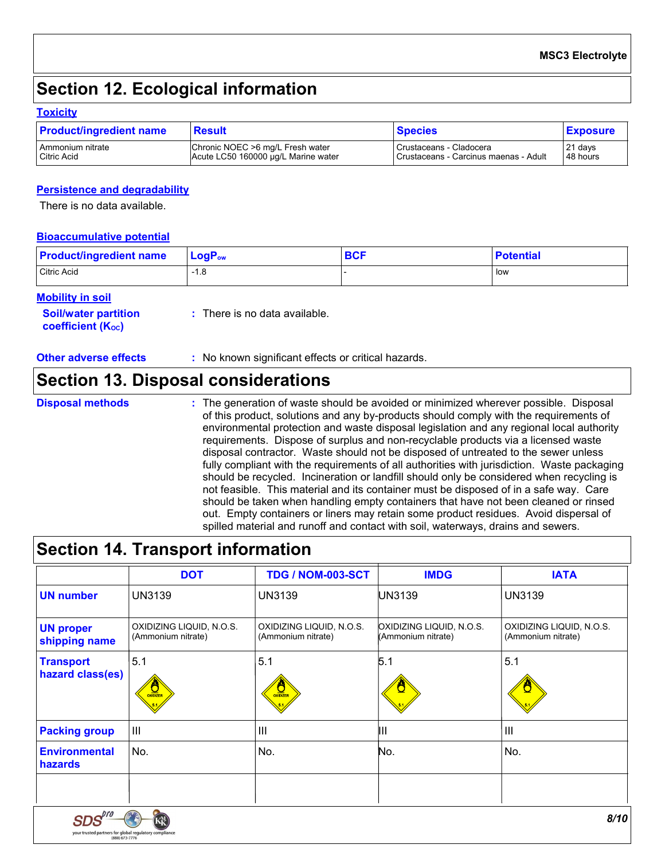## **Section 12. Ecological information**

#### **Toxicity**

| <b>Product/ingredient name</b> | <b>Result</b>                       | <b>Species</b>                        | <b>Exposure</b> |
|--------------------------------|-------------------------------------|---------------------------------------|-----------------|
| Ammonium nitrate               | Chronic NOEC >6 mg/L Fresh water    | Crustaceans - Cladocera               | 21 days         |
| <b>Citric Acid</b>             | Acute LC50 160000 µg/L Marine water | Crustaceans - Carcinus maenas - Adult | 48 hours        |

#### **Persistence and degradability**

There is no data available.

#### **Bioaccumulative potential**

| <b>Product/ingredient name</b> | $LogP_{ow}$ | <b>BCF</b> | <b>Potential</b> |
|--------------------------------|-------------|------------|------------------|
| Citric Acid                    | -1.8        |            | low              |

#### **Mobility in soil**

| <b>Soil/water partition</b><br>coefficient (K <sub>oc</sub> ) | $\therefore$ There is no data available. |
|---------------------------------------------------------------|------------------------------------------|
|                                                               |                                          |

**Other adverse effects** : No known significant effects or critical hazards.

### **Section 13. Disposal considerations**

#### **Disposal methods :**

The generation of waste should be avoided or minimized wherever possible. Disposal of this product, solutions and any by-products should comply with the requirements of environmental protection and waste disposal legislation and any regional local authority requirements. Dispose of surplus and non-recyclable products via a licensed waste disposal contractor. Waste should not be disposed of untreated to the sewer unless fully compliant with the requirements of all authorities with jurisdiction. Waste packaging should be recycled. Incineration or landfill should only be considered when recycling is not feasible. This material and its container must be disposed of in a safe way. Care should be taken when handling empty containers that have not been cleaned or rinsed out. Empty containers or liners may retain some product residues. Avoid dispersal of spilled material and runoff and contact with soil, waterways, drains and sewers.

### **Section 14. Transport information**

your trusted partners for global regulatory compliance<br>(888) 673-7776

|                                      | <b>DOT</b>                                     | TDG / NOM-003-SCT                              | <b>IMDG</b>                                    | <b>IATA</b>                                    |
|--------------------------------------|------------------------------------------------|------------------------------------------------|------------------------------------------------|------------------------------------------------|
| <b>UN number</b>                     | UN3139                                         | <b>UN3139</b>                                  | UN3139                                         | UN3139                                         |
| <b>UN proper</b><br>shipping name    | OXIDIZING LIQUID, N.O.S.<br>(Ammonium nitrate) | OXIDIZING LIQUID, N.O.S.<br>(Ammonium nitrate) | OXIDIZING LIQUID, N.O.S.<br>(Ammonium nitrate) | OXIDIZING LIQUID, N.O.S.<br>(Ammonium nitrate) |
| <b>Transport</b><br>hazard class(es) | 5.1<br>$\frac{1}{\sqrt{2}}$                    | 5.1<br>$\frac{Q}{Q}$                           | 5.1                                            | 5.1                                            |
| <b>Packing group</b>                 | $\mathbf{III}$                                 | $\mathbf{III}$                                 | Ш                                              | $\mathbf{III}$                                 |
| <b>Environmental</b><br>hazards      | No.                                            | No.                                            | No.                                            | No.                                            |
|                                      |                                                |                                                |                                                |                                                |
| SDS                                  |                                                |                                                |                                                | 8/10                                           |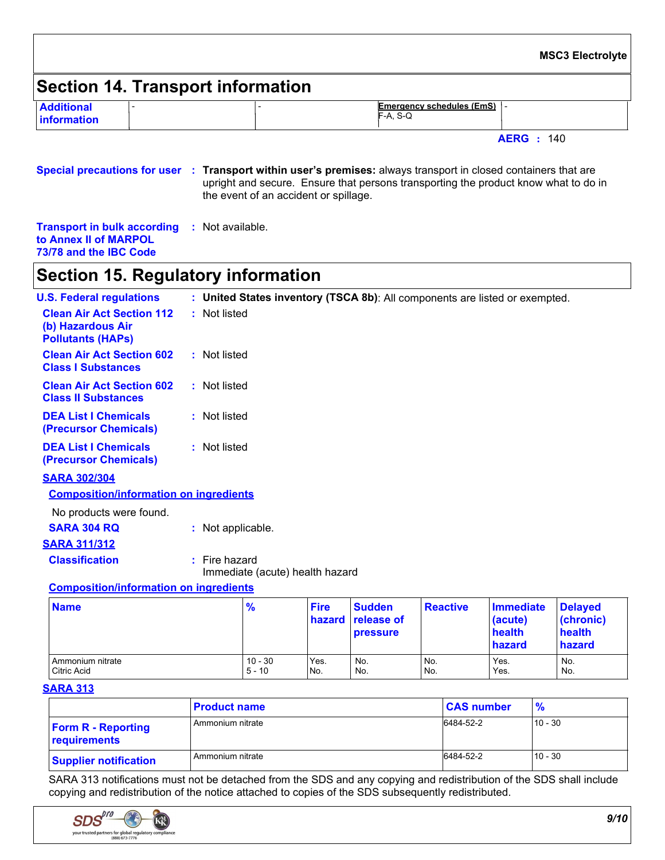|                                  |                                   |                                                   | <b>MSC3 Electrolyte</b> |
|----------------------------------|-----------------------------------|---------------------------------------------------|-------------------------|
|                                  | Section 14. Transport information |                                                   |                         |
| <b>Additional</b><br>information |                                   | <b>Emergency schedules (EmS)</b>  -<br>$F-A, S-Q$ |                         |
|                                  |                                   | <b>AERG</b> : 140                                 |                         |

**Special precautions for user Transport within user's premises:** always transport in closed containers that are **:** upright and secure. Ensure that persons transporting the product know what to do in the event of an accident or spillage.

**Transport in bulk according :** Not available. **to Annex II of MARPOL 73/78 and the IBC Code**

### **Section 15. Regulatory information**

| <b>U.S. Federal regulations</b>                                                   | : United States inventory (TSCA 8b): All components are listed or exempted. |
|-----------------------------------------------------------------------------------|-----------------------------------------------------------------------------|
| <b>Clean Air Act Section 112</b><br>(b) Hazardous Air<br><b>Pollutants (HAPS)</b> | : Not listed                                                                |
| <b>Clean Air Act Section 602</b><br><b>Class I Substances</b>                     | : Not listed                                                                |
| <b>Clean Air Act Section 602</b><br><b>Class II Substances</b>                    | : Not listed                                                                |
| <b>DEA List I Chemicals</b><br><b>(Precursor Chemicals)</b>                       | : Not listed                                                                |
| <b>DEA List I Chemicals</b><br>(Precursor Chemicals)                              | : Not listed                                                                |
| <b>SARA 302/304</b>                                                               |                                                                             |
| <b>Composition/information on ingredients</b>                                     |                                                                             |

**SARA 304 RQ :** Not applicable. **SARA 311/312 Classification :** Fire hazard Immediate (acute) health hazard No products were found.

#### **Composition/information on ingredients**

| <b>Name</b>      | $\frac{9}{6}$ | <b>Fire</b> | <b>Sudden</b><br><b>hazard release of</b><br><b>pressure</b> | <b>Reactive</b> | Immediate<br>(acute)<br>health<br>hazard | <b>Delayed</b><br>(chronic)<br>health<br>hazard |
|------------------|---------------|-------------|--------------------------------------------------------------|-----------------|------------------------------------------|-------------------------------------------------|
| Ammonium nitrate | $10 - 30$     | Yes.        | No.                                                          | No.             | Yes.                                     | No.                                             |
| Citric Acid      | $5 - 10$      | No.         | No.                                                          | No.             | Yes.                                     | No.                                             |

#### **SARA 313**

|                                           | <b>Product name</b> | <b>CAS number</b> | $\frac{9}{6}$ |
|-------------------------------------------|---------------------|-------------------|---------------|
| <b>Form R - Reporting</b><br>requirements | Ammonium nitrate    | 6484-52-2         | $10 - 30$     |
| <b>Supplier notification</b>              | Ammonium nitrate    | 6484-52-2         | $10 - 30$     |

SARA 313 notifications must not be detached from the SDS and any copying and redistribution of the SDS shall include copying and redistribution of the notice attached to copies of the SDS subsequently redistributed.